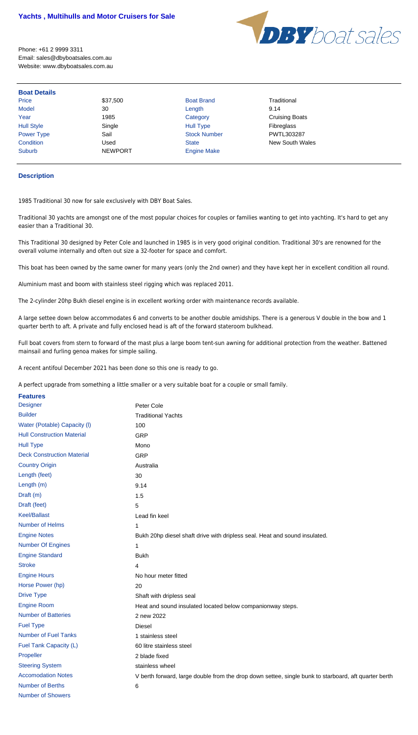

Phone: +61 2 9999 3311 Email: sales@dbyboatsales.com.au Website: www.dbyboatsales.com.au

| Price             | \$37,500       | <b>Boat Brand</b>   | Traditional           |
|-------------------|----------------|---------------------|-----------------------|
| <b>Model</b>      | 30             | Length              | 9.14                  |
| Year              | 1985           | Category            | <b>Cruising Boats</b> |
| <b>Hull Style</b> | Single         | <b>Hull Type</b>    | Fibreglass            |
| <b>Power Type</b> | Sail           | <b>Stock Number</b> | PWTL303287            |
| Condition         | Used           | <b>State</b>        | New South Wales       |
| <b>Suburb</b>     | <b>NEWPORT</b> | <b>Engine Make</b>  |                       |

## **Description**

1985 Traditional 30 now for sale exclusively with DBY Boat Sales.

Traditional 30 yachts are amongst one of the most popular choices for couples or families wanting to get into yachting. It's hard to get any easier than a Traditional 30.

This Traditional 30 designed by Peter Cole and launched in 1985 is in very good original condition. Traditional 30's are renowned for the overall volume internally and often out size a 32-footer for space and comfort.

This boat has been owned by the same owner for many years (only the 2nd owner) and they have kept her in excellent condition all round.

Aluminium mast and boom with stainless steel rigging which was replaced 2011.

The 2-cylinder 20hp Bukh diesel engine is in excellent working order with maintenance records available.

A large settee down below accommodates 6 and converts to be another double amidships. There is a generous V double in the bow and 1 quarter berth to aft. A private and fully enclosed head is aft of the forward stateroom bulkhead.

Full boat covers from stern to forward of the mast plus a large boom tent-sun awning for additional protection from the weather. Battened mainsail and furling genoa makes for simple sailing.

A recent antifoul December 2021 has been done so this one is ready to go.

A perfect upgrade from something a little smaller or a very suitable boat for a couple or small family.

| <b>Features</b>                   |                                                                                                      |
|-----------------------------------|------------------------------------------------------------------------------------------------------|
| <b>Designer</b>                   | Peter Cole                                                                                           |
| <b>Builder</b>                    | <b>Traditional Yachts</b>                                                                            |
| Water (Potable) Capacity (I)      | 100                                                                                                  |
| <b>Hull Construction Material</b> | <b>GRP</b>                                                                                           |
| <b>Hull Type</b>                  | Mono                                                                                                 |
| <b>Deck Construction Material</b> | <b>GRP</b>                                                                                           |
| <b>Country Origin</b>             | Australia                                                                                            |
| Length (feet)                     | 30                                                                                                   |
| Length (m)                        | 9.14                                                                                                 |
| Draft (m)                         | 1.5                                                                                                  |
| Draft (feet)                      | 5                                                                                                    |
| <b>Keel/Ballast</b>               | Lead fin keel                                                                                        |
| Number of Helms                   | 1                                                                                                    |
| <b>Engine Notes</b>               | Bukh 20hp diesel shaft drive with dripless seal. Heat and sound insulated.                           |
| <b>Number Of Engines</b>          | 1                                                                                                    |
| <b>Engine Standard</b>            | <b>Bukh</b>                                                                                          |
| <b>Stroke</b>                     | 4                                                                                                    |
| <b>Engine Hours</b>               | No hour meter fitted                                                                                 |
| Horse Power (hp)                  | 20                                                                                                   |
| <b>Drive Type</b>                 | Shaft with dripless seal                                                                             |
| <b>Engine Room</b>                | Heat and sound insulated located below companionway steps.                                           |
| <b>Number of Batteries</b>        | 2 new 2022                                                                                           |
| <b>Fuel Type</b>                  | <b>Diesel</b>                                                                                        |
| <b>Number of Fuel Tanks</b>       | 1 stainless steel                                                                                    |
| Fuel Tank Capacity (L)            | 60 litre stainless steel                                                                             |
| Propeller                         | 2 blade fixed                                                                                        |
| <b>Steering System</b>            | stainless wheel                                                                                      |
| <b>Accomodation Notes</b>         | V berth forward, large double from the drop down settee, single bunk to starboard, aft quarter berth |
| <b>Number of Berths</b>           | 6                                                                                                    |
| <b>Number of Showers</b>          |                                                                                                      |